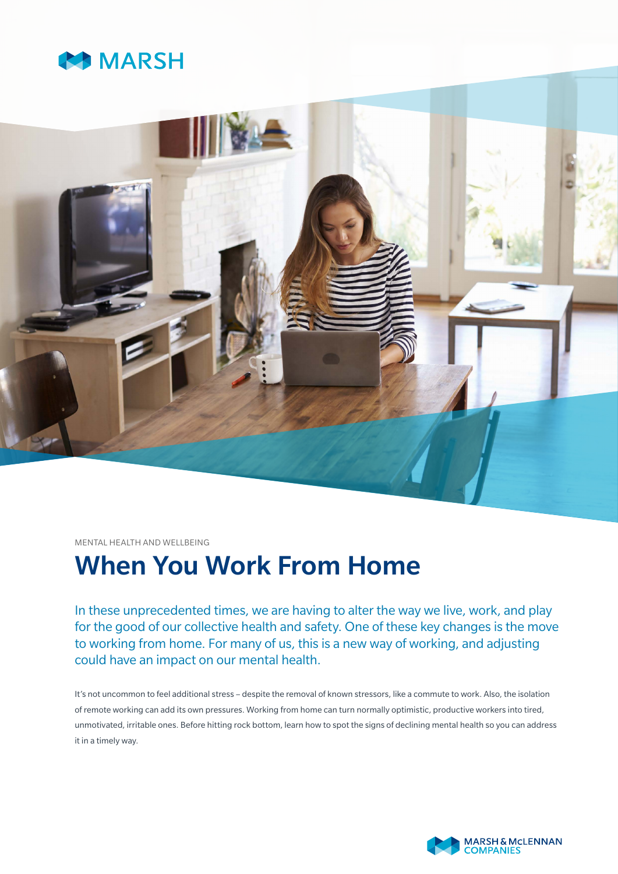



MENTAL HEALTH AND WELLBEING

# When You Work From Home

In these unprecedented times, we are having to alter the way we live, work, and play for the good of our collective health and safety. One of these key changes is the move to working from home. For many of us, this is a new way of working, and adjusting could have an impact on our mental health.

It's not uncommon to feel additional stress – despite the removal of known stressors, like a commute to work. Also, the isolation of remote working can add its own pressures. Working from home can turn normally optimistic, productive workers into tired, unmotivated, irritable ones. Before hitting rock bottom, learn how to spot the signs of declining mental health so you can address it in a timely way.

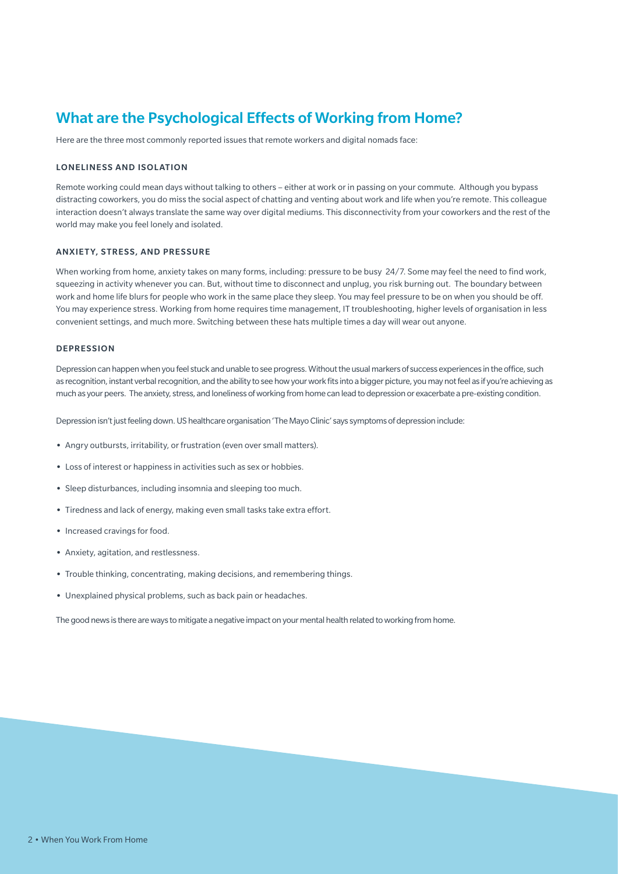# What are the Psychological Effects of Working from Home?

Here are the three most commonly reported issues that remote workers and digital nomads face:

# LONELINESS AND ISOLATION

Remote working could mean days without talking to others – either at work or in passing on your commute. Although you bypass distracting coworkers, you do miss the social aspect of chatting and venting about work and life when you're remote. This colleague interaction doesn't always translate the same way over digital mediums. This disconnectivity from your coworkers and the rest of the world may make you feel lonely and isolated.

#### ANXIETY, STRESS, AND PRESSURE

When working from home, anxiety takes on many forms, including: pressure to be busy 24/7. Some may feel the need to find work, squeezing in activity whenever you can. But, without time to disconnect and unplug, you risk burning out. The boundary between work and home life blurs for people who work in the same place they sleep. You may feel pressure to be on when you should be off. You may experience stress. Working from home requires time management, IT troubleshooting, higher levels of organisation in less convenient settings, and much more. Switching between these hats multiple times a day will wear out anyone.

#### **DEPRESSION**

Depression can happen when you feel stuck and unable to see progress. Without the usual markers of success experiences in the office, such as recognition, instant verbal recognition, and the ability to see how your work fits into a bigger picture, you may not feel as if you're achieving as much as your peers. The anxiety, stress, and loneliness of working from home can lead to depression or exacerbate a pre-existing condition.

Depression isn't just feeling down. US healthcare organisation 'The Mayo Clinic' says symptoms of depression include:

- **•** Angry outbursts, irritability, or frustration (even over small matters).
- **•** Loss of interest or happiness in activities such as sex or hobbies.
- **•** Sleep disturbances, including insomnia and sleeping too much.
- **•** Tiredness and lack of energy, making even small tasks take extra effort.
- **•** Increased cravings for food.
- **•** Anxiety, agitation, and restlessness.
- **•** Trouble thinking, concentrating, making decisions, and remembering things.
- **•** Unexplained physical problems, such as back pain or headaches.

The good news is there are ways to mitigate a negative impact on your mental health related to working from home.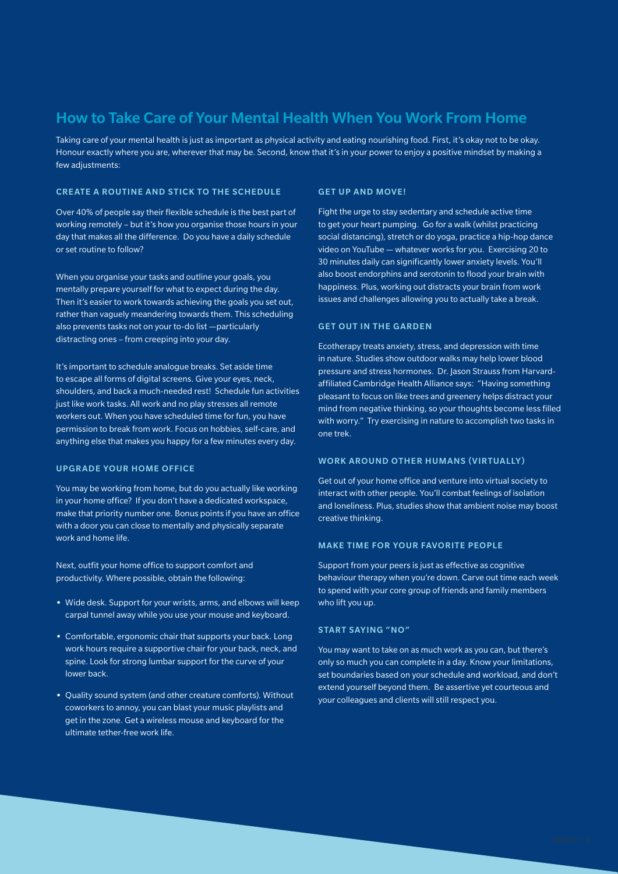# How to Take Care of Your Mental Health When You Work From Home

Taking care of your mental health is just as important as physical activity and eating nourishing food. First, it's okay not to be okay. Honour exactly where you are, wherever that may be. Second, know that it's in your power to enjoy a positive mindset by making a few adjustments:

## CREATE A ROUTINE AND STICK TO THE SCHEDULE

Over 40% of people say their flexible schedule is the best part of working remotely – but it's how you organise those hours in your day that makes all the difference. Do you have a daily schedule or set routine to follow?

When you organise your tasks and outline your goals, you mentally prepare yourself for what to expect during the day. Then it's easier to work towards achieving the goals you set out, rather than vaguely meandering towards them. This scheduling also prevents tasks not on your to-do list —particularly distracting ones – from creeping into your day.

It's important to schedule analogue breaks. Set aside time to escape all forms of digital screens. Give your eyes, neck, shoulders, and back a much-needed rest! Schedule fun activities just like work tasks. All work and no play stresses all remote workers out. When you have scheduled time for fun, you have permission to break from work. Focus on hobbies, self-care, and anything else that makes you happy for a few minutes every day.

#### UPGRADE YOUR HOME OFFICE

You may be working from home, but do you actually like working in your home office? If you don't have a dedicated workspace, make that priority number one. Bonus points if you have an office with a door you can close to mentally and physically separate work and home life.

Next, outfit your home office to support comfort and productivity. Where possible, obtain the following:

- **•** Wide desk. Support for your wrists, arms, and elbows will keep carpal tunnel away while you use your mouse and keyboard.
- **•** Comfortable, ergonomic chair that supports your back. Long work hours require a supportive chair for your back, neck, and spine. Look for strong lumbar support for the curve of your lower back.
- **•** Quality sound system (and other creature comforts). Without coworkers to annoy, you can blast your music playlists and get in the zone. Get a wireless mouse and keyboard for the ultimate tether-free work life.

## GET UP AND MOVE!

Fight the urge to stay sedentary and schedule active time to get your heart pumping. Go for a walk (whilst practicing social distancing), stretch or do yoga, practice a hip-hop dance video on YouTube — whatever works for you. Exercising 20 to 30 minutes daily can significantly lower anxiety levels. You'll also boost endorphins and serotonin to flood your brain with happiness. Plus, working out distracts your brain from work issues and challenges allowing you to actually take a break.

#### GET OUT IN THE GARDEN

Ecotherapy treats anxiety, stress, and depression with time in nature. Studies show outdoor walks may help lower blood pressure and stress hormones. Dr. Jason Strauss from Harvardaffiliated Cambridge Health Alliance says: "Having something pleasant to focus on like trees and greenery helps distract your mind from negative thinking, so your thoughts become less filled with worry." Try exercising in nature to accomplish two tasks in one trek.

# WORK AROUND OTHER HUMANS (VIRTUALLY)

Get out of your home office and venture into virtual society to interact with other people. You'll combat feelings of isolation and loneliness. Plus, studies show that ambient noise may boost creative thinking.

#### MAKE TIME FOR YOUR FAVORITE PEOPLE

Support from your peers is just as effective as cognitive behaviour therapy when you're down. Carve out time each week to spend with your core group of friends and family members who lift you up.

## START SAYING "NO"

You may want to take on as much work as you can, but there's only so much you can complete in a day. Know your limitations, set boundaries based on your schedule and workload, and don't extend yourself beyond them. Be assertive yet courteous and your colleagues and clients will still respect you.